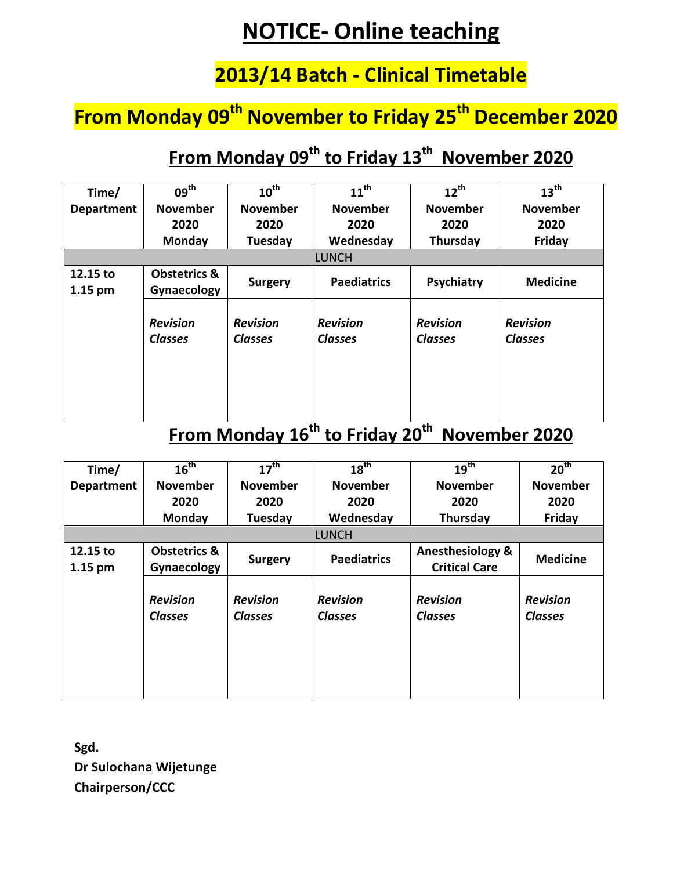# **NOTICE- Online teaching**

### **2013/14 Batch - Clinical Timetable**

## **From Monday 09th November to Friday 25th December 2020**

### **From Monday 09th to Friday 13th November 2020**

| Time/                 | $09^{\text{th}}$                       | $10^{\text{th}}$                  | $11^{\text{th}}$                                    | $12^{th}$                                 | 13 <sup>th</sup>                  |
|-----------------------|----------------------------------------|-----------------------------------|-----------------------------------------------------|-------------------------------------------|-----------------------------------|
| <b>Department</b>     | <b>November</b>                        | <b>November</b>                   | <b>November</b>                                     | <b>November</b>                           | <b>November</b>                   |
|                       | 2020                                   | 2020                              | 2020                                                | 2020                                      | 2020                              |
|                       | Monday                                 | Tuesday                           | Wednesday                                           | Thursday                                  | Friday                            |
|                       |                                        |                                   | <b>LUNCH</b>                                        |                                           |                                   |
| 12.15 to<br>$1.15$ pm | <b>Obstetrics &amp;</b><br>Gynaecology | <b>Surgery</b>                    | <b>Paediatrics</b>                                  | Psychiatry                                | <b>Medicine</b>                   |
|                       | <b>Revision</b><br><b>Classes</b>      | <b>Revision</b><br><b>Classes</b> | <b>Revision</b><br><b>Classes</b><br>$\overline{a}$ | <b>Revision</b><br><b>Classes</b><br>a.L. | <b>Revision</b><br><b>Classes</b> |

#### **From Monday 16th to Friday 20th November 2020**

| Time/                 | 16 <sup>th</sup>                       | $17^{\text{th}}$                  | $18^{th}$                         | 19 <sup>th</sup>                                    | 20 <sup>th</sup>                  |
|-----------------------|----------------------------------------|-----------------------------------|-----------------------------------|-----------------------------------------------------|-----------------------------------|
| <b>Department</b>     | <b>November</b>                        | <b>November</b>                   | <b>November</b>                   | <b>November</b>                                     | <b>November</b>                   |
|                       | 2020                                   | 2020                              | 2020                              | 2020                                                | 2020                              |
|                       | Monday                                 | Tuesday                           | Wednesday                         | Thursday                                            | Friday                            |
|                       |                                        |                                   | <b>LUNCH</b>                      |                                                     |                                   |
| 12.15 to<br>$1.15$ pm | <b>Obstetrics &amp;</b><br>Gynaecology | <b>Surgery</b>                    | <b>Paediatrics</b>                | <b>Anesthesiology &amp;</b><br><b>Critical Care</b> | <b>Medicine</b>                   |
|                       | <b>Revision</b><br><b>Classes</b>      | <b>Revision</b><br><b>Classes</b> | <b>Revision</b><br><b>Classes</b> | <b>Revision</b><br><b>Classes</b>                   | <b>Revision</b><br><b>Classes</b> |

**Sgd. Dr Sulochana Wijetunge Chairperson/CCC**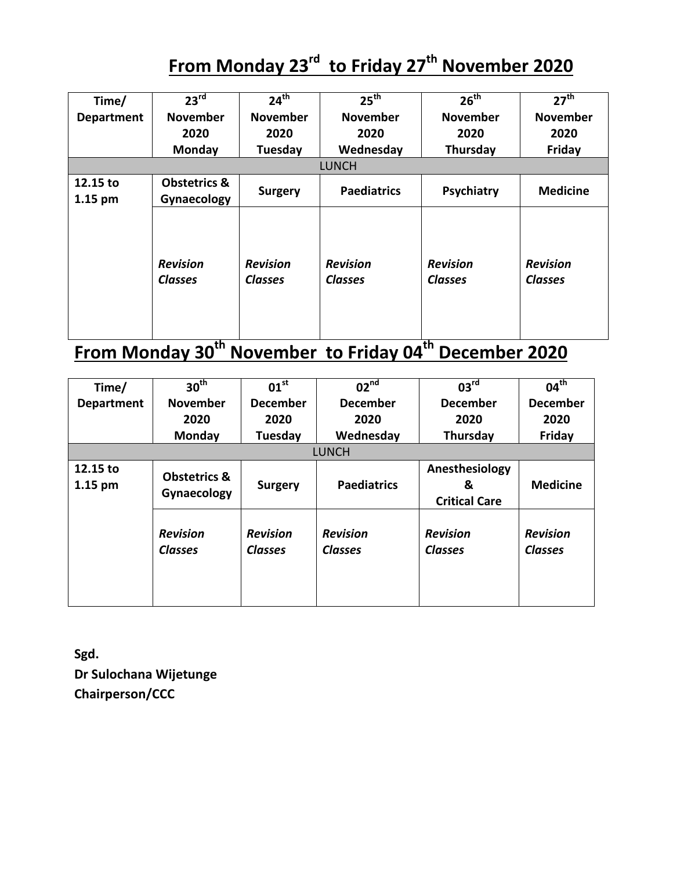# **From Monday 23rd to Friday 27th November 2020**

| Time/               | $23^{\text{rd}}$                       | $24^{th}$                         | 25 <sup>th</sup>                  | 26 <sup>th</sup>                  | 27 <sup>th</sup>                  |
|---------------------|----------------------------------------|-----------------------------------|-----------------------------------|-----------------------------------|-----------------------------------|
| <b>Department</b>   | <b>November</b>                        | <b>November</b>                   | <b>November</b>                   | <b>November</b>                   | <b>November</b>                   |
|                     | 2020                                   | 2020                              | 2020                              | 2020                              | 2020                              |
|                     | Monday                                 | Tuesday                           | Wednesday                         | Thursday                          | Friday                            |
|                     |                                        |                                   | <b>LUNCH</b>                      |                                   |                                   |
| 12.15 to<br>1.15 pm | <b>Obstetrics &amp;</b><br>Gynaecology | <b>Surgery</b>                    | <b>Paediatrics</b>                | Psychiatry                        | <b>Medicine</b>                   |
|                     | <b>Revision</b><br><b>Classes</b>      | <b>Revision</b><br><b>Classes</b> | <b>Revision</b><br><b>Classes</b> | <b>Revision</b><br><b>Classes</b> | <b>Revision</b><br><b>Classes</b> |

## **From Monday 30th November to Friday 04th December 2020**

| Time/                 | 30 <sup>th</sup>                       | 01 <sup>st</sup>                  | 02 <sup>nd</sup>                  | 03 <sup>rd</sup>                            | $04^{\text{th}}$                  |
|-----------------------|----------------------------------------|-----------------------------------|-----------------------------------|---------------------------------------------|-----------------------------------|
| <b>Department</b>     | <b>November</b>                        | <b>December</b>                   | <b>December</b>                   | <b>December</b>                             | <b>December</b>                   |
|                       | 2020                                   | 2020                              | 2020                              | 2020                                        | 2020                              |
|                       | Monday                                 | Tuesday                           | Wednesday                         | Thursday                                    | Friday                            |
|                       |                                        |                                   | <b>LUNCH</b>                      |                                             |                                   |
| 12.15 to<br>$1.15$ pm | <b>Obstetrics &amp;</b><br>Gynaecology | <b>Surgery</b>                    | <b>Paediatrics</b>                | Anesthesiology<br>&<br><b>Critical Care</b> | <b>Medicine</b>                   |
|                       | <b>Revision</b><br><b>Classes</b>      | <b>Revision</b><br><b>Classes</b> | <b>Revision</b><br><b>Classes</b> | <b>Revision</b><br><b>Classes</b>           | <b>Revision</b><br><b>Classes</b> |

**Sgd. Dr Sulochana Wijetunge Chairperson/CCC**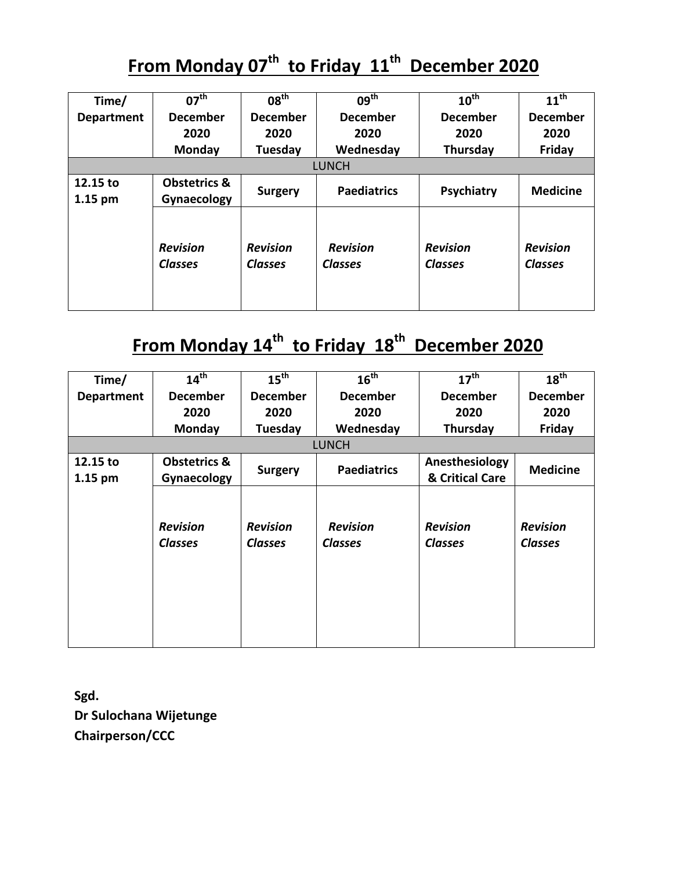## **From Monday 07th to Friday 11th December 2020**

| Time/             | $07^{\text{th}}$                  | 08 <sup>th</sup>                  | $09^{\text{th}}$                  | $10^{\text{th}}$                  | $11^{\text{th}}$                  |
|-------------------|-----------------------------------|-----------------------------------|-----------------------------------|-----------------------------------|-----------------------------------|
| <b>Department</b> | <b>December</b>                   | <b>December</b>                   | <b>December</b>                   | <b>December</b>                   | <b>December</b>                   |
|                   | 2020                              | 2020                              | 2020                              | 2020                              | 2020                              |
|                   | Monday                            | Tuesday                           | Wednesday                         | Thursday                          | Friday                            |
|                   |                                   |                                   | <b>LUNCH</b>                      |                                   |                                   |
| 12.15 to          | <b>Obstetrics &amp;</b>           | <b>Surgery</b>                    | <b>Paediatrics</b>                | Psychiatry                        | <b>Medicine</b>                   |
| $1.15$ pm         | Gynaecology                       |                                   |                                   |                                   |                                   |
|                   | <b>Revision</b><br><b>Classes</b> | <b>Revision</b><br><b>Classes</b> | <b>Revision</b><br><b>Classes</b> | <b>Revision</b><br><b>Classes</b> | <b>Revision</b><br><b>Classes</b> |

### **From Monday 14th to Friday 18th December 2020**

| Time/             | 14 <sup>th</sup>                  | 15 <sup>th</sup>                  | 16 <sup>th</sup>                  | 17 <sup>th</sup>                  | 18 <sup>th</sup>                  |
|-------------------|-----------------------------------|-----------------------------------|-----------------------------------|-----------------------------------|-----------------------------------|
| <b>Department</b> | <b>December</b>                   | <b>December</b>                   | <b>December</b>                   | <b>December</b>                   | <b>December</b>                   |
|                   | 2020                              | 2020                              | 2020                              | 2020                              | 2020                              |
|                   | <b>Monday</b>                     | Tuesday                           | Wednesday                         | Thursday                          | Friday                            |
|                   |                                   |                                   | <b>LUNCH</b>                      |                                   |                                   |
| 12.15 to          | <b>Obstetrics &amp;</b>           |                                   |                                   | Anesthesiology                    | <b>Medicine</b>                   |
| 1.15 pm           | Gynaecology                       | <b>Surgery</b>                    | <b>Paediatrics</b>                | & Critical Care                   |                                   |
|                   | <b>Revision</b><br><b>Classes</b> | <b>Revision</b><br><b>Classes</b> | <b>Revision</b><br><b>Classes</b> | <b>Revision</b><br><b>Classes</b> | <b>Revision</b><br><b>Classes</b> |

**Sgd. Dr Sulochana Wijetunge Chairperson/CCC**